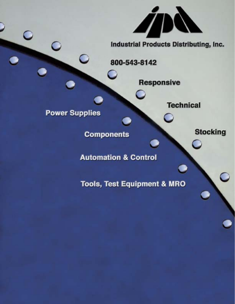**Industrial Products Distributing, Inc.** 

**Technical** 

**Responsive** 

800-543-8142

**Power Supplies** 

**Components** 

**Automation & Control** 

**Tools, Test Equipment & MRO** 

**Stocking**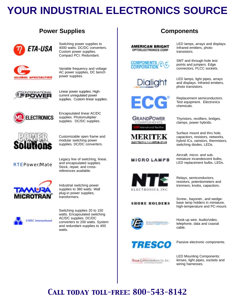# **YOUR INDUSTRIAL ELECTRONICS SOURCE**

### **Power Supplies**



Switching power supplies to 4000 watts. DC/DC converters. Custom power supplies. Compact PCI. Redundant.



Variable frequency and voltage AC power supplies, DC bench power supplies.



Linear power supplies. Highcurrent unregulated power supplies. Custom linear supplies.



Encapsulated linear AC/DC supplies. Photomultiplier supplies. DC/DC supplies.



Customizable open frame and modular switching power supplies. DC/DC converters.

Legacy line of switching, linear, and encapsulated supplies. Stock, repair, and crossreferences available.

### RTEPower/Mate



Industrial switching power supplies to 380 watts. Wall plug-in power supplies, transformers.



Switching supplies 20 to 150 watts. Encapsulated switching AC/DC supplies. DC/DC converters to 200 watts. System and redundant supplies to 400 watts.

### **Components**

**AMERICAN BRIGHT** OPTOELECTRONICS CORP











### **MICROLAMPS**



#### **SHORE HOLDERS**







LED lamps, arrays and displays. Infrared emitters, photo transistors.

SMT and through-hole test points and jumpers. Edge connectors, PLCC sockets.

LED lamps, light pipes, arrays and displays. Infrared emitters, photo transistors.

Replacement semiconductors. Test equipment. Electronics chemicals.

Thyristors, rectifiers, bridges, clamps, power hybrids.

Surface mount and thru hole, capacitors, resistors, networks, hybrid ICs, varistors, thermistors, switching diodes, LEDs.

Aircraft, micro- and subminiature incandescent bulbs, LED replacement bulbs, LEDs.

Relays, semiconductors, resistors, potentiometers and trimmers, knobs, capacitors.

Screw-, bayonet-, and wedgebase lamp holders in miniature, high-temperature and PC-mount.

Hook-up wire. Audio/video, telephone, data and coaxial cable.

Passive electronic components.

LED Mounting Components: lenses, light pipes, sockets and wiring harnesses.

# *Call today toll-free: 800-543-8142*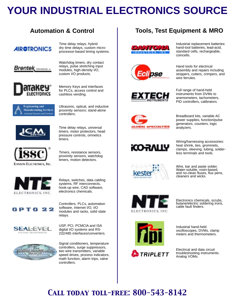# **YOUR INDUSTRIAL ELECTRONICS SOURCE**

## **Automation & Control**

### **AIROTRONICS**

**Brentek** *investme* -



Memory Keys and interfaces for PLCs, access control and cashless vending.

Watchdog timers, dry contact relays, pulse stretching input modules, high-density I/O, custom I/O products.

Time delay relays, hybrid dry time delays, custom microprocessor-based timing systems.



Ultrasonic, optical, and inductive proximity sensors; stand-alone controllers.



Time delay relays, universal timers, motor protectors, head pressure controls, omnetics timers.



KANSON ELECTRONICS, INC.

Timers, resistance sensors, proximity sensors, watchdog timers, motion detectors.



Relays, switches, data cabling systems, RF interconnects, hook-up wire, CAD software, electronics chemicals.

Controllers, PLCs, automation software, Internet I/O, I/O modules and racks, solid state

relays.





USP, PCI, PCMCIA and ISA digital I/O systems and RS-232/485 interfaces/converters.



Signal conditioners, temperature controllers, surge suppressors, two wire transmitters, variable speed drives, process indicators, math function, alarm trips, valve controllers.

### **Tools, Test Equipment & MRO**







standard cells, rechargeable, coincells.

Industrial replacement batteries: hand-tool batteries, lead-acid,

Hand tools for electrical assembly and repairs including strippers, cutters, crimpers, and wire ferrules.

Full range of hand-held instruments from DVMs to anemometers, tachometers, PID controllers, calibrators.

Breadboard kits, variable AC power supplies, function/pulse generators, counters, logic analyzers.



**OBAL SPECIALTIES** 



Wiring/harnessing accessories: heat shrink, ties, grommets, clamps, sleeving, tubing, solderless terminals and tools.

Wire, bar and paste solder.<br>Water-soluble, rosin-based, and no-clean fluxes, flux pens, cleaners and wicks.



Electronics chemicals, scrubs, butane/electric soldering irons, cable fault finders.



TRIPLETT

Industrial hand-held oscilloscopes, DVMs, clamp meters and thermometers.

Electrical and data circuit troubleshooting instruments. Analog VOMs.

## *Call today toll-free: 800-543-8142*